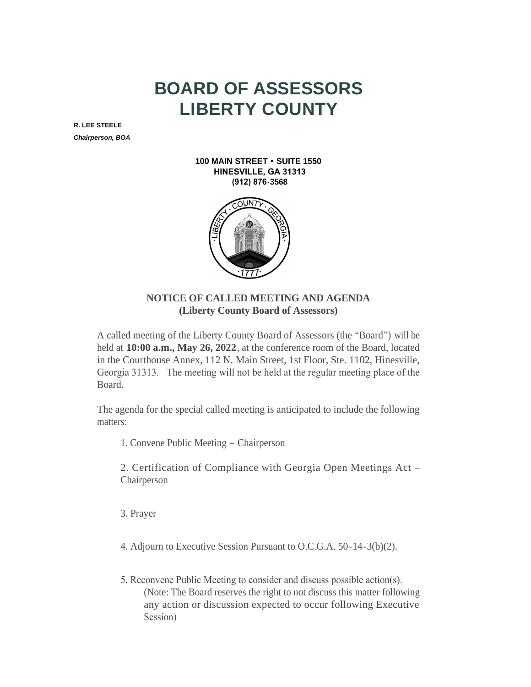## **BOARD OF ASSESSORS LIBERTY COUNTY**

**R. LEE STEELE** *Chairperson, BOA*

> **100 MAIN STREET • SUITE 1550 HINESVILLE, GA 31313 (912) 876-3568**



## **NOTICE OF CALLED MEETING AND AGENDA (Liberty County Board of Assessors)**

A called meeting of the Liberty County Board of Assessors (the "Board") will be held at **10:00 a.m., May 26, 2022**, at the conference room of the Board, located in the Courthouse Annex, 112 N. Main Street, 1st Floor, Ste. 1102, Hinesville, Georgia 31313. The meeting will not be held at the regular meeting place of the Board.

The agenda for the special called meeting is anticipated to include the following matters:

1. Convene Public Meeting – Chairperson

2. Certification of Compliance with Georgia Open Meetings Act – Chairperson

- 3. Prayer
- 4. Adjourn to Executive Session Pursuant to O.C.G.A. 50-14-3(b)(2).
- 5. Reconvene Public Meeting to consider and discuss possible action(s). (Note: The Board reserves the right to not discuss this matter following any action or discussion expected to occur following Executive Session)